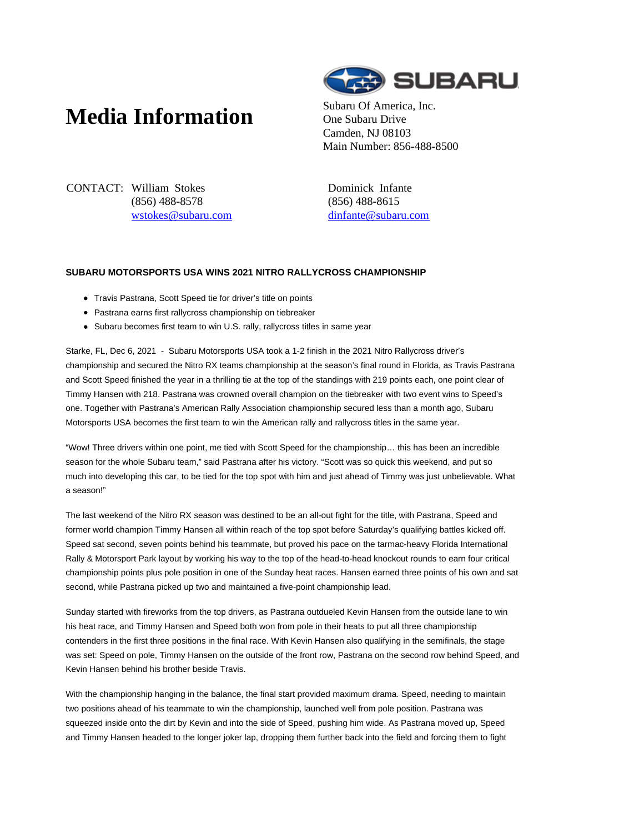## **Media Information** Subaru Of America, Inc.



One Subaru Drive Camden, NJ 08103 Main Number: 856-488-8500

CONTACT: William Stokes (856) 488-8578 wstokes@subaru.com Dominick Infante (856) 488-8615 dinfante@subaru.com

## **SUBARU MOTORSPORTS USA WINS 2021 NITRO RALLYCROSS CHAMPIONSHIP**

- Travis Pastrana, Scott Speed tie for driver's title on points
- Pastrana earns first rallycross championship on tiebreaker
- Subaru becomes first team to win U.S. rally, rallycross titles in same year

Starke, FL, Dec 6, 2021 - Subaru Motorsports USA took a 1-2 finish in the 2021 Nitro Rallycross driver's championship and secured the Nitro RX teams championship at the season's final round in Florida, as Travis Pastrana and Scott Speed finished the year in a thrilling tie at the top of the standings with 219 points each, one point clear of Timmy Hansen with 218. Pastrana was crowned overall champion on the tiebreaker with two event wins to Speed's one. Together with Pastrana's American Rally Association championship secured less than a month ago, Subaru Motorsports USA becomes the first team to win the American rally and rallycross titles in the same year.

"Wow! Three drivers within one point, me tied with Scott Speed for the championship… this has been an incredible season for the whole Subaru team," said Pastrana after his victory. "Scott was so quick this weekend, and put so much into developing this car, to be tied for the top spot with him and just ahead of Timmy was just unbelievable. What a season!"

The last weekend of the Nitro RX season was destined to be an all-out fight for the title, with Pastrana, Speed and former world champion Timmy Hansen all within reach of the top spot before Saturday's qualifying battles kicked off. Speed sat second, seven points behind his teammate, but proved his pace on the tarmac-heavy Florida International Rally & Motorsport Park layout by working his way to the top of the head-to-head knockout rounds to earn four critical championship points plus pole position in one of the Sunday heat races. Hansen earned three points of his own and sat second, while Pastrana picked up two and maintained a five-point championship lead.

Sunday started with fireworks from the top drivers, as Pastrana outdueled Kevin Hansen from the outside lane to win his heat race, and Timmy Hansen and Speed both won from pole in their heats to put all three championship contenders in the first three positions in the final race. With Kevin Hansen also qualifying in the semifinals, the stage was set: Speed on pole, Timmy Hansen on the outside of the front row, Pastrana on the second row behind Speed, and Kevin Hansen behind his brother beside Travis.

With the championship hanging in the balance, the final start provided maximum drama. Speed, needing to maintain two positions ahead of his teammate to win the championship, launched well from pole position. Pastrana was squeezed inside onto the dirt by Kevin and into the side of Speed, pushing him wide. As Pastrana moved up, Speed and Timmy Hansen headed to the longer joker lap, dropping them further back into the field and forcing them to fight